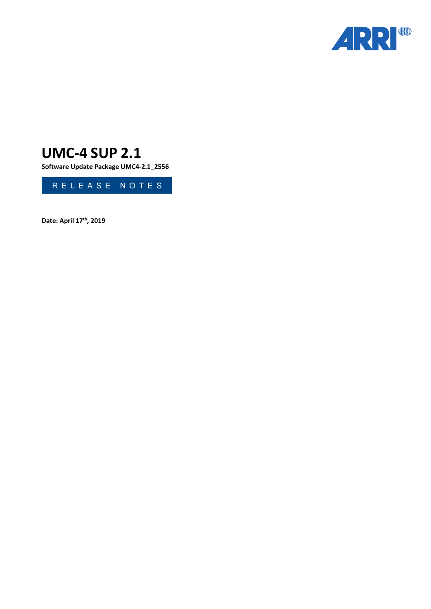

# **UMC-4 SUP 2.1**

**Software Update Package UMC4-2.1\_2556**



**Date: April 17th, 2019**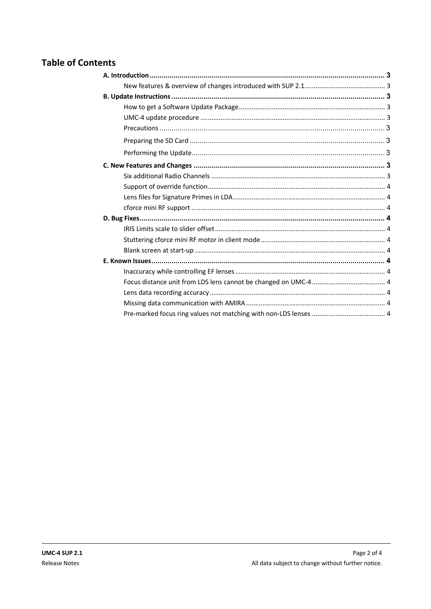# **Table of Contents**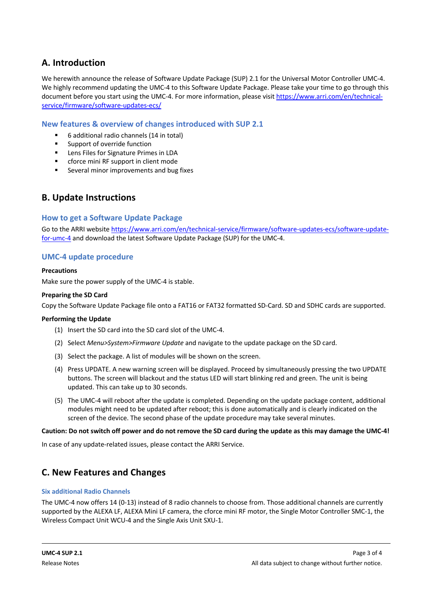# **A. Introduction**

We herewith announce the release of Software Update Package (SUP) 2.1 for the Universal Motor Controller UMC-4. We highly recommend updating the UMC-4 to this Software Update Package. Please take your time to go through this document before you start using the UMC-4. For more information, please visit https://www.arri.com/en/technicalservice/firmware/software-updates-ecs/

### **New features & overview of changes introduced with SUP 2.1**

- 6 additional radio channels (14 in total)
- Support of override function
- Lens Files for Signature Primes in LDA
- cforce mini RF support in client mode
- Several minor improvements and bug fixes

# **B. Update Instructions**

#### **How to get a Software Update Package**

Go to the ARRI website https://www.arri.com/en/technical-service/firmware/software-updates-ecs/software-updatefor-umc-4 and download the latest Software Update Package (SUP) for the UMC-4.

### **UMC-4 update procedure**

#### **Precautions**

Make sure the power supply of the UMC-4 is stable.

#### **Preparing the SD Card**

Copy the Software Update Package file onto a FAT16 or FAT32 formatted SD-Card. SD and SDHC cards are supported.

#### **Performing the Update**

- (1) Insert the SD card into the SD card slot of the UMC-4.
- (2) Select *Menu>System>Firmware Update* and navigate to the update package on the SD card.
- (3) Select the package. A list of modules will be shown on the screen.
- (4) Press UPDATE. A new warning screen will be displayed. Proceed by simultaneously pressing the two UPDATE buttons. The screen will blackout and the status LED will start blinking red and green. The unit is being updated. This can take up to 30 seconds.
- (5) The UMC-4 will reboot after the update is completed. Depending on the update package content, additional modules might need to be updated after reboot; this is done automatically and is clearly indicated on the screen of the device. The second phase of the update procedure may take several minutes.

#### **Caution: Do not switch off power and do not remove the SD card during the update as this may damage the UMC-4!**

In case of any update-related issues, please contact the ARRI Service.

# **C. New Features and Changes**

#### **Six additional Radio Channels**

The UMC-4 now offers 14 (0-13) instead of 8 radio channels to choose from. Those additional channels are currently supported by the ALEXA LF, ALEXA Mini LF camera, the cforce mini RF motor, the Single Motor Controller SMC-1, the Wireless Compact Unit WCU-4 and the Single Axis Unit SXU-1.